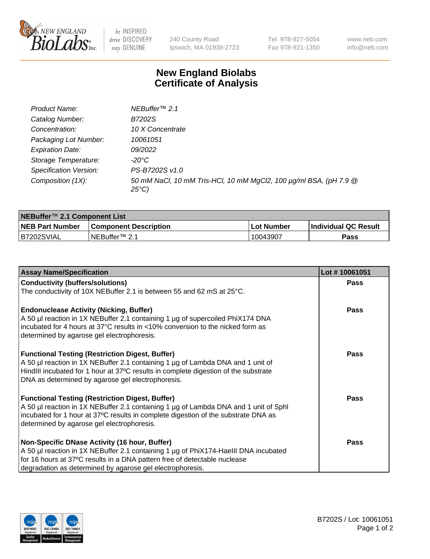

be INSPIRED drive DISCOVERY stay GENUINE

240 County Road Ipswich, MA 01938-2723 Tel 978-927-5054 Fax 978-921-1350 www.neb.com info@neb.com

## **New England Biolabs Certificate of Analysis**

| Product Name:           | NEBuffer <sup>™</sup> 2.1                                                          |
|-------------------------|------------------------------------------------------------------------------------|
| Catalog Number:         | B7202S                                                                             |
| Concentration:          | 10 X Concentrate                                                                   |
| Packaging Lot Number:   | 10061051                                                                           |
| <b>Expiration Date:</b> | 09/2022                                                                            |
| Storage Temperature:    | -20°C                                                                              |
| Specification Version:  | PS-B7202S v1.0                                                                     |
| Composition (1X):       | 50 mM NaCl, 10 mM Tris-HCl, 10 mM MgCl2, 100 µg/ml BSA, (pH 7.9 @<br>$25^{\circ}C$ |

| NEBuffer <sup>™</sup> 2.1 Component List |                              |                   |                      |  |  |
|------------------------------------------|------------------------------|-------------------|----------------------|--|--|
| <b>NEB Part Number</b>                   | <b>Component Description</b> | <b>Lot Number</b> | Individual QC Result |  |  |
| B7202SVIAL                               | NEBuffer™ 2.1                | .10043907         | <b>Pass</b>          |  |  |

| <b>Assay Name/Specification</b>                                                                                                                                                                                                                                                       | Lot #10061051 |
|---------------------------------------------------------------------------------------------------------------------------------------------------------------------------------------------------------------------------------------------------------------------------------------|---------------|
| <b>Conductivity (buffers/solutions)</b>                                                                                                                                                                                                                                               | <b>Pass</b>   |
| The conductivity of 10X NEBuffer 2.1 is between 55 and 62 mS at 25°C.                                                                                                                                                                                                                 |               |
| <b>Endonuclease Activity (Nicking, Buffer)</b><br>A 50 µl reaction in 1X NEBuffer 2.1 containing 1 µg of supercoiled PhiX174 DNA<br>incubated for 4 hours at 37°C results in <10% conversion to the nicked form as<br>determined by agarose gel electrophoresis.                      | <b>Pass</b>   |
| <b>Functional Testing (Restriction Digest, Buffer)</b><br>A 50 µl reaction in 1X NEBuffer 2.1 containing 1 µg of Lambda DNA and 1 unit of<br>HindIII incubated for 1 hour at 37°C results in complete digestion of the substrate<br>DNA as determined by agarose gel electrophoresis. | <b>Pass</b>   |
| <b>Functional Testing (Restriction Digest, Buffer)</b><br>A 50 µl reaction in 1X NEBuffer 2.1 containing 1 µg of Lambda DNA and 1 unit of Sphl<br>incubated for 1 hour at 37°C results in complete digestion of the substrate DNA as<br>determined by agarose gel electrophoresis.    | Pass          |
| Non-Specific DNase Activity (16 hour, Buffer)<br>A 50 µl reaction in 1X NEBuffer 2.1 containing 1 µg of PhiX174-HaellI DNA incubated<br>for 16 hours at 37°C results in a DNA pattern free of detectable nuclease<br>degradation as determined by agarose gel electrophoresis.        | Pass          |